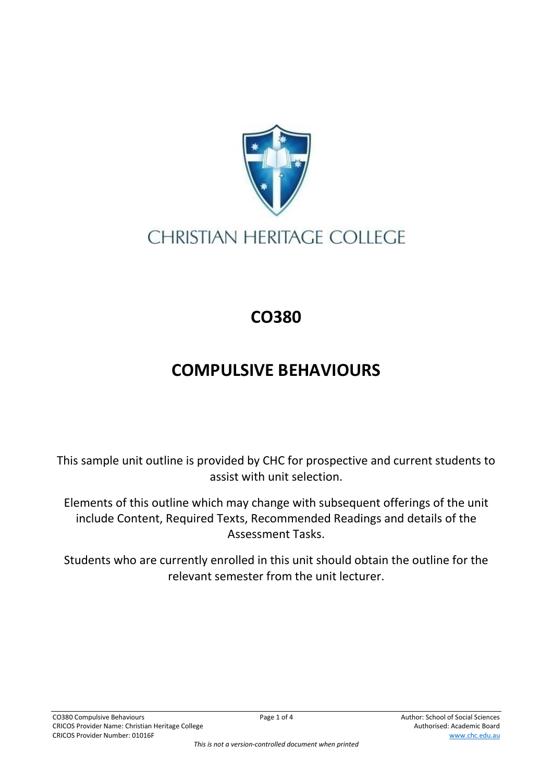

## **CHRISTIAN HERITAGE COLLEGE**

## **CO380**

## **COMPULSIVE BEHAVIOURS**

This sample unit outline is provided by CHC for prospective and current students to assist with unit selection.

Elements of this outline which may change with subsequent offerings of the unit include Content, Required Texts, Recommended Readings and details of the Assessment Tasks.

Students who are currently enrolled in this unit should obtain the outline for the relevant semester from the unit lecturer.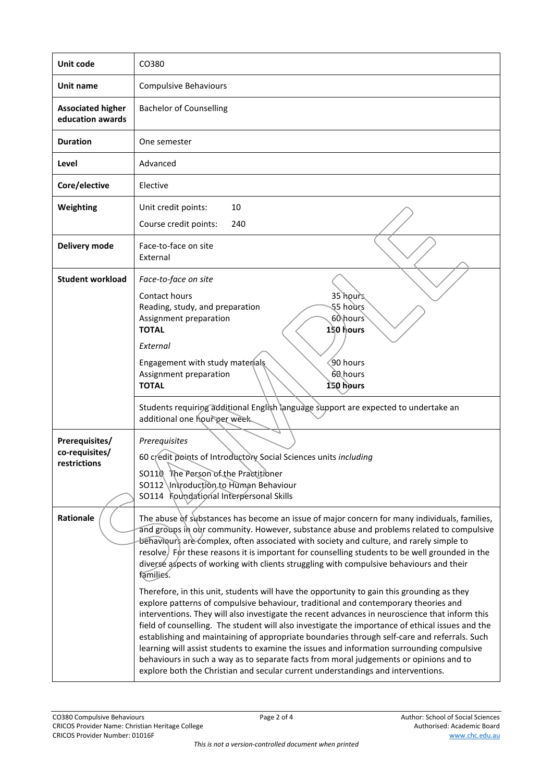| Unit code                                        | CO380                                                                                                                                                                                                                                                                                                                                                                                                                                                                                                                                                                                                                                                                                                                                                                                                                                                                                                                                                                                                                                                                                                                                                                                                                                                                |
|--------------------------------------------------|----------------------------------------------------------------------------------------------------------------------------------------------------------------------------------------------------------------------------------------------------------------------------------------------------------------------------------------------------------------------------------------------------------------------------------------------------------------------------------------------------------------------------------------------------------------------------------------------------------------------------------------------------------------------------------------------------------------------------------------------------------------------------------------------------------------------------------------------------------------------------------------------------------------------------------------------------------------------------------------------------------------------------------------------------------------------------------------------------------------------------------------------------------------------------------------------------------------------------------------------------------------------|
| Unit name                                        | Compulsive Behaviours                                                                                                                                                                                                                                                                                                                                                                                                                                                                                                                                                                                                                                                                                                                                                                                                                                                                                                                                                                                                                                                                                                                                                                                                                                                |
| <b>Associated higher</b><br>education awards     | <b>Bachelor of Counselling</b>                                                                                                                                                                                                                                                                                                                                                                                                                                                                                                                                                                                                                                                                                                                                                                                                                                                                                                                                                                                                                                                                                                                                                                                                                                       |
| <b>Duration</b>                                  | One semester                                                                                                                                                                                                                                                                                                                                                                                                                                                                                                                                                                                                                                                                                                                                                                                                                                                                                                                                                                                                                                                                                                                                                                                                                                                         |
| Level                                            | Advanced                                                                                                                                                                                                                                                                                                                                                                                                                                                                                                                                                                                                                                                                                                                                                                                                                                                                                                                                                                                                                                                                                                                                                                                                                                                             |
| Core/elective                                    | Elective                                                                                                                                                                                                                                                                                                                                                                                                                                                                                                                                                                                                                                                                                                                                                                                                                                                                                                                                                                                                                                                                                                                                                                                                                                                             |
| Weighting                                        | Unit credit points:<br>10<br>Course credit points:<br>240                                                                                                                                                                                                                                                                                                                                                                                                                                                                                                                                                                                                                                                                                                                                                                                                                                                                                                                                                                                                                                                                                                                                                                                                            |
| Delivery mode                                    | Face-to-face on site<br>External                                                                                                                                                                                                                                                                                                                                                                                                                                                                                                                                                                                                                                                                                                                                                                                                                                                                                                                                                                                                                                                                                                                                                                                                                                     |
| <b>Student workload</b>                          | Face-to-face on site<br>Contact hours<br>35 hours<br>55 hours<br>Reading, study, and preparation<br>60\hours<br>Assignment preparation<br><b>TOTAL</b><br>150 hours<br>External<br>Engagement with study materials<br>90 hours<br>60 hours<br>Assignment preparation<br>150 hours<br><b>TOTAL</b>                                                                                                                                                                                                                                                                                                                                                                                                                                                                                                                                                                                                                                                                                                                                                                                                                                                                                                                                                                    |
|                                                  | Students requiring additional English language support are expected to undertake an<br>additional one hour per week.                                                                                                                                                                                                                                                                                                                                                                                                                                                                                                                                                                                                                                                                                                                                                                                                                                                                                                                                                                                                                                                                                                                                                 |
| Prerequisites/<br>co-requisites/<br>restrictions | Prerequisites<br>60 credit points of Introductory Social Sciences units including<br>SO110 The Person of the Practitioner<br>SO112 \Introduction.to Human Behaviour<br>SO114 Foundational Interpersonal Skills                                                                                                                                                                                                                                                                                                                                                                                                                                                                                                                                                                                                                                                                                                                                                                                                                                                                                                                                                                                                                                                       |
| Rationale                                        | The abuse of substances has become an issue of major concern for many individuals, families,<br>and groups in our community. However, substance abuse and problems related to compulsive<br>behaviours are complex, often associated with society and culture, and rarely simple to<br>resolve) For these reasons it is important for counselling students to be well grounded in the<br>diverse aspects of working with clients struggling with compulsive behaviours and their<br>families.<br>Therefore, in this unit, students will have the opportunity to gain this grounding as they<br>explore patterns of compulsive behaviour, traditional and contemporary theories and<br>interventions. They will also investigate the recent advances in neuroscience that inform this<br>field of counselling. The student will also investigate the importance of ethical issues and the<br>establishing and maintaining of appropriate boundaries through self-care and referrals. Such<br>learning will assist students to examine the issues and information surrounding compulsive<br>behaviours in such a way as to separate facts from moral judgements or opinions and to<br>explore both the Christian and secular current understandings and interventions. |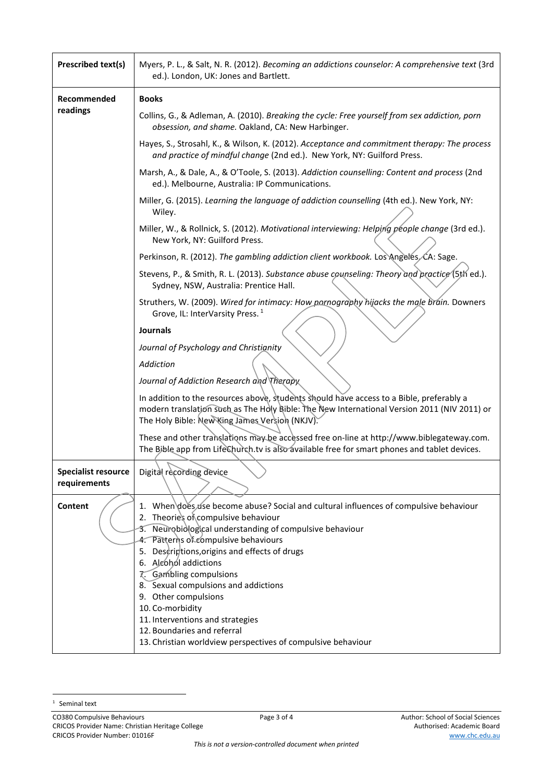| Prescribed text(s)                         | Myers, P. L., & Salt, N. R. (2012). Becoming an addictions counselor: A comprehensive text (3rd<br>ed.). London, UK: Jones and Bartlett.                                                                                                                                                                                                                                                                                                                                                             |
|--------------------------------------------|------------------------------------------------------------------------------------------------------------------------------------------------------------------------------------------------------------------------------------------------------------------------------------------------------------------------------------------------------------------------------------------------------------------------------------------------------------------------------------------------------|
| Recommended<br>readings                    | <b>Books</b>                                                                                                                                                                                                                                                                                                                                                                                                                                                                                         |
|                                            | Collins, G., & Adleman, A. (2010). Breaking the cycle: Free yourself from sex addiction, porn<br>obsession, and shame. Oakland, CA: New Harbinger.                                                                                                                                                                                                                                                                                                                                                   |
|                                            | Hayes, S., Strosahl, K., & Wilson, K. (2012). Acceptance and commitment therapy: The process<br>and practice of mindful change (2nd ed.). New York, NY: Guilford Press.                                                                                                                                                                                                                                                                                                                              |
|                                            | Marsh, A., & Dale, A., & O'Toole, S. (2013). Addiction counselling: Content and process (2nd<br>ed.). Melbourne, Australia: IP Communications.                                                                                                                                                                                                                                                                                                                                                       |
|                                            | Miller, G. (2015). Learning the language of addiction counselling (4th ed.). New York, NY:<br>Wiley.                                                                                                                                                                                                                                                                                                                                                                                                 |
|                                            | Miller, W., & Rollnick, S. (2012). Motivational interviewing: Helping people change (3rd ed.).<br>New York, NY: Guilford Press.                                                                                                                                                                                                                                                                                                                                                                      |
|                                            | Perkinson, R. (2012). The gambling addiction client workbook. Los Angeles CA: Sage.                                                                                                                                                                                                                                                                                                                                                                                                                  |
|                                            | Stevens, P., & Smith, R. L. (2013). Substance abuse counseling: Theory and practice (5th ed.).<br>Sydney, NSW, Australia: Prentice Hall.                                                                                                                                                                                                                                                                                                                                                             |
|                                            | Struthers, W. (2009). Wired for intimacy: How pornography hijacks the male brain. Downers<br>Grove, IL: InterVarsity Press. <sup>1</sup>                                                                                                                                                                                                                                                                                                                                                             |
|                                            | <b>Journals</b>                                                                                                                                                                                                                                                                                                                                                                                                                                                                                      |
|                                            | Journal of Psychology and Christianity                                                                                                                                                                                                                                                                                                                                                                                                                                                               |
|                                            | Addiction                                                                                                                                                                                                                                                                                                                                                                                                                                                                                            |
|                                            | Journal of Addiction Research and Therapy                                                                                                                                                                                                                                                                                                                                                                                                                                                            |
|                                            | In addition to the resources above, students should have access to a Bible, preferably a<br>modern translation such as The Holy Bible: The New International Version 2011 (NIV 2011) or<br>The Holy Bible: New King James Version (NKJV).                                                                                                                                                                                                                                                            |
|                                            | These and other translations may be accessed free on-line at http://www.biblegateway.com.<br>The Bible app from LifeChurch.tv is also available free for smart phones and tablet devices.                                                                                                                                                                                                                                                                                                            |
| <b>Specialist resource</b><br>requirements | Digital recording device                                                                                                                                                                                                                                                                                                                                                                                                                                                                             |
| Content                                    | 1. When does use become abuse? Social and cultural influences of compulsive behaviour<br>2. Theorie's of compulsive behaviour<br>3. Neurobiological understanding of compulsive behaviour<br>4. Patterns of compulsive behaviours<br>5. Descriptions, origins and effects of drugs<br>6. Algohol addictions<br><b>7.</b> Gambling compulsions<br>8. Sexual compulsions and addictions<br>9. Other compulsions<br>10. Co-morbidity<br>11. Interventions and strategies<br>12. Boundaries and referral |
|                                            | 13. Christian worldview perspectives of compulsive behaviour                                                                                                                                                                                                                                                                                                                                                                                                                                         |

 $1$  Seminal text